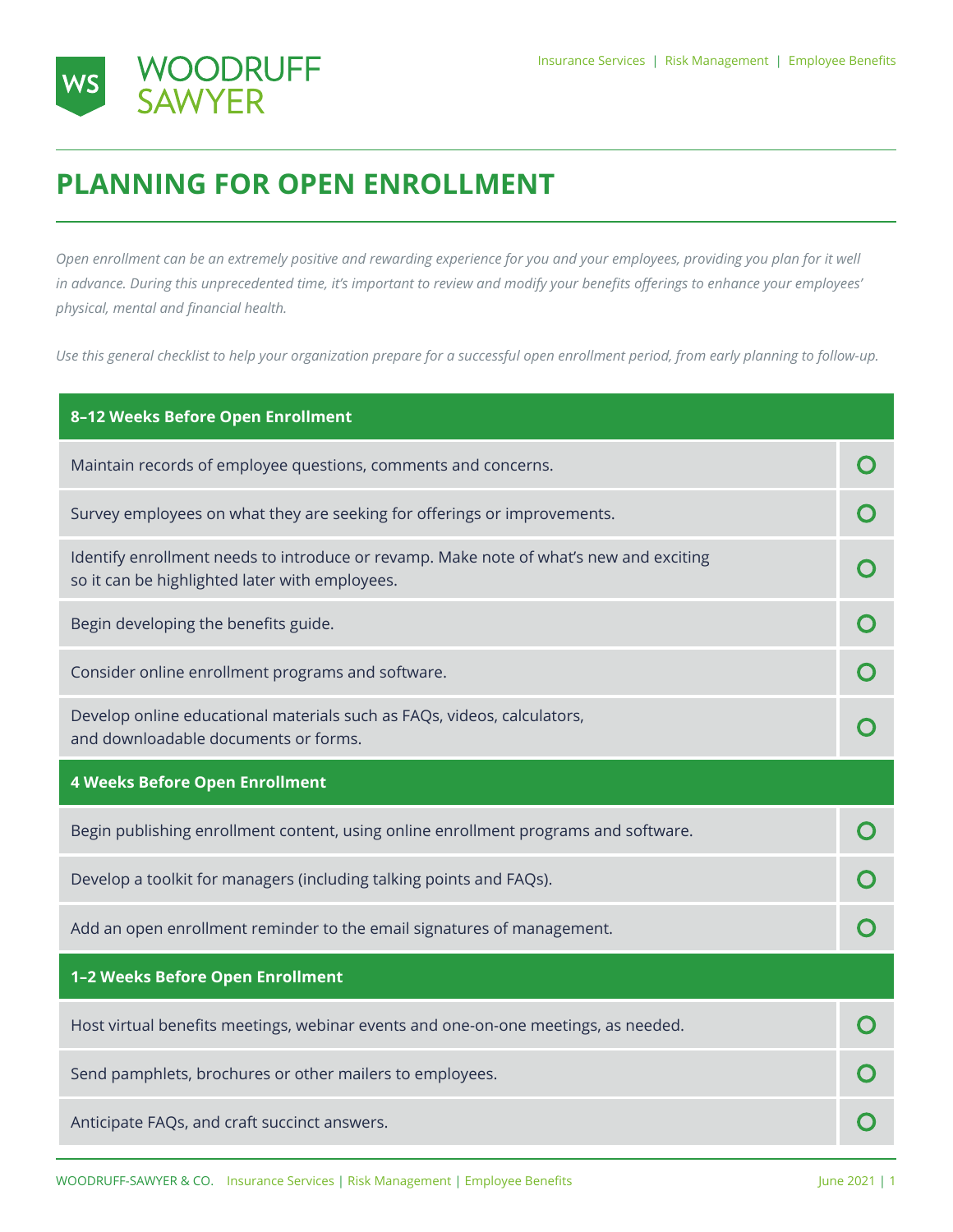

## **PLANNING FOR OPEN ENROLLMENT**

*Open enrollment can be an extremely positive and rewarding experience for you and your employees, providing you plan for it well in advance. During this unprecedented time, it's important to review and modify your benefits offerings to enhance your employees' physical, mental and financial health.*

*Use this general checklist to help your organization prepare for a successful open enrollment period, from early planning to follow-up.*

| 8-12 Weeks Before Open Enrollment                                                                                                        |  |
|------------------------------------------------------------------------------------------------------------------------------------------|--|
| Maintain records of employee questions, comments and concerns.                                                                           |  |
| Survey employees on what they are seeking for offerings or improvements.                                                                 |  |
| Identify enrollment needs to introduce or revamp. Make note of what's new and exciting<br>so it can be highlighted later with employees. |  |
| Begin developing the benefits guide.                                                                                                     |  |
| Consider online enrollment programs and software.                                                                                        |  |
| Develop online educational materials such as FAQs, videos, calculators,<br>and downloadable documents or forms.                          |  |
|                                                                                                                                          |  |
| <b>4 Weeks Before Open Enrollment</b>                                                                                                    |  |
| Begin publishing enrollment content, using online enrollment programs and software.                                                      |  |
| Develop a toolkit for managers (including talking points and FAQs).                                                                      |  |
| Add an open enrollment reminder to the email signatures of management.                                                                   |  |
| 1-2 Weeks Before Open Enrollment                                                                                                         |  |
| Host virtual benefits meetings, webinar events and one-on-one meetings, as needed.                                                       |  |
| Send pamphlets, brochures or other mailers to employees.                                                                                 |  |